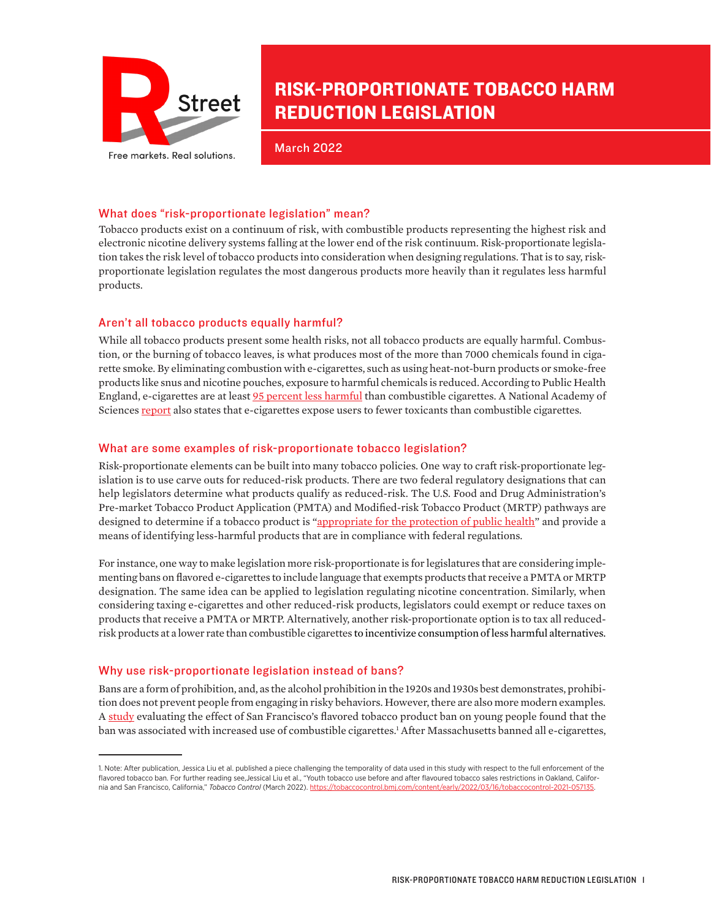

# RISK-PROPORTIONATE TOBACCO HARM REDUCTION LEGISLATION

March 2022

### What does "risk-proportionate legislation" mean?

Tobacco products exist on a continuum of risk, with combustible products representing the highest risk and electronic nicotine delivery systems falling at the lower end of the risk continuum. Risk-proportionate legislation takes the risk level of tobacco products into consideration when designing regulations. That is to say, riskproportionate legislation regulates the most dangerous products more heavily than it regulates less harmful products.

## Aren't all tobacco products equally harmful?

While all tobacco products present some health risks, not all tobacco products are equally harmful. Combustion, or the burning of tobacco leaves, is what produces most of the more than 7000 chemicals found in cigarette smoke. By eliminating combustion with e-cigarettes, such as using heat-not-burn products or smoke-free products like snus and nicotine pouches, exposure to harmful chemicals is reduced. According to Public Health England, e-cigarettes are at least [95 percent less harmful](https://www.gov.uk/government/news/e-cigarettes-around-95-less-harmful-than-tobacco-estimates-landmark-review) than combustible cigarettes. A National Academy of Sciences [report](https://www.ncbi.nlm.nih.gov/books/NBK507185/) also states that e-cigarettes expose users to fewer toxicants than combustible cigarettes.

### What are some examples of risk-proportionate tobacco legislation?

Risk-proportionate elements can be built into many tobacco policies. One way to craft risk-proportionate legislation is to use carve outs for reduced-risk products. There are two federal regulatory designations that can help legislators determine what products qualify as reduced-risk. The U.S. Food and Drug Administration's Pre-market Tobacco Product Application (PMTA) and Modified-risk Tobacco Product (MRTP) pathways are designed to determine if a tobacco product is ["appropriate for the protection of public health"](https://www.fda.gov/tobacco-products/market-and-distribute-tobacco-product/premarket-tobacco-product-applications) and provide a means of identifying less-harmful products that are in compliance with federal regulations.

For instance, one way to make legislation more risk-proportionate is for legislatures that are considering implementing bans on flavored e-cigarettes to include language that exempts products that receive a PMTA or MRTP designation. The same idea can be applied to legislation regulating nicotine concentration. Similarly, when considering taxing e-cigarettes and other reduced-risk products, legislators could exempt or reduce taxes on products that receive a PMTA or MRTP. Alternatively, another risk-proportionate option is to tax all reducedrisk products at a lower rate than combustible cigarettes to incentivize consumption of less harmful alternatives.

### Why use risk-proportionate legislation instead of bans?

Bans are a form of prohibition, and, as the alcohol prohibition in the 1920s and 1930s best demonstrates, prohibition does not prevent people from engaging in risky behaviors. However, there are also more modern examples. A [study](https://jamanetwork.com/journals/jamapediatrics/fullarticle/2780248) evaluating the effect of San Francisco's flavored tobacco product ban on young people found that the ban was associated with increased use of combustible cigarettes.<sup>1</sup> After Massachusetts banned all e-cigarettes,

<sup>1.</sup> Note: After publication, Jessica Liu et al. published a piece challenging the temporality of data used in this study with respect to the full enforcement of the flavored tobacco ban. For further reading see,Jessical Liu et al., "Youth tobacco use before and after flavoured tobacco sales restrictions in Oakland, California and San Francisco, California," *Tobacco Control* (March 2022). [https://tobaccocontrol.bmj.com/content/early/2022/03/16/tobaccocontrol-2021-057135.](https://tobaccocontrol.bmj.com/content/early/2022/03/16/tobaccocontrol-2021-057135)